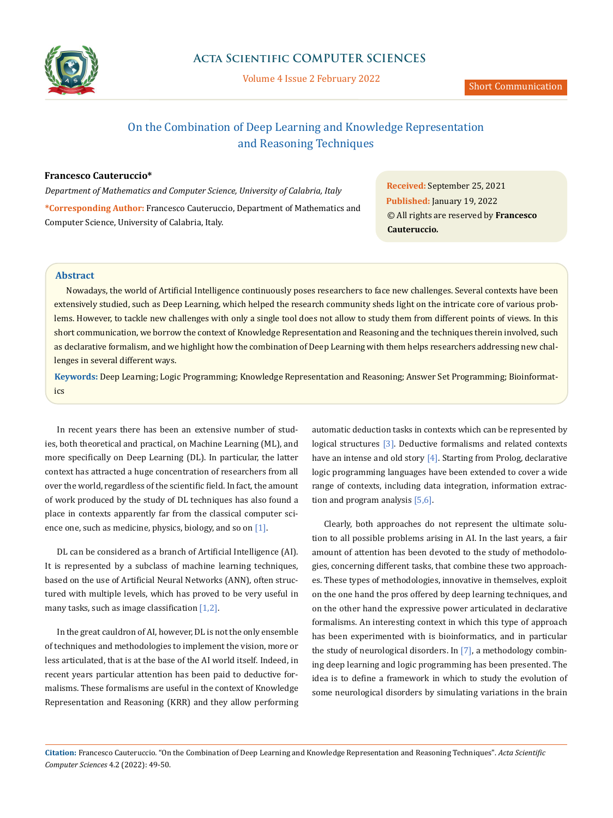

Volume 4 Issue 2 February 2022

# On the Combination of Deep Learning and Knowledge Representation and Reasoning Techniques

## **Francesco Cauteruccio\***

*Department of Mathematics and Computer Science, University of Calabria, Italy* **\*Corresponding Author:** Francesco Cauteruccio, Department of Mathematics and Computer Science, University of Calabria, Italy.

**Received:** September 25, 2021 **Published:** January 19, 2022 © All rights are reserved by **Francesco Cauteruccio***.*

### **Abstract**

Nowadays, the world of Artificial Intelligence continuously poses researchers to face new challenges. Several contexts have been extensively studied, such as Deep Learning, which helped the research community sheds light on the intricate core of various problems. However, to tackle new challenges with only a single tool does not allow to study them from different points of views. In this short communication, we borrow the context of Knowledge Representation and Reasoning and the techniques therein involved, such as declarative formalism, and we highlight how the combination of Deep Learning with them helps researchers addressing new challenges in several different ways.

**Keywords:** Deep Learning; Logic Programming; Knowledge Representation and Reasoning; Answer Set Programming; Bioinformatics

In recent years there has been an extensive number of studies, both theoretical and practical, on Machine Learning (ML), and more specifically on Deep Learning (DL). In particular, the latter context has attracted a huge concentration of researchers from all over the world, regardless of the scientific field. In fact, the amount of work produced by the study of DL techniques has also found a place in contexts apparently far from the classical computer science one, such as medicine, physics, biology, and so on [1].

DL can be considered as a branch of Artificial Intelligence (AI). It is represented by a subclass of machine learning techniques, based on the use of Artificial Neural Networks (ANN), often structured with multiple levels, which has proved to be very useful in many tasks, such as image classification [1,2].

In the great cauldron of AI, however, DL is not the only ensemble of techniques and methodologies to implement the vision, more or less articulated, that is at the base of the AI world itself. Indeed, in recent years particular attention has been paid to deductive formalisms. These formalisms are useful in the context of Knowledge Representation and Reasoning (KRR) and they allow performing automatic deduction tasks in contexts which can be represented by logical structures [3]. Deductive formalisms and related contexts have an intense and old story [4]. Starting from Prolog, declarative logic programming languages have been extended to cover a wide range of contexts, including data integration, information extraction and program analysis [5,6].

Clearly, both approaches do not represent the ultimate solution to all possible problems arising in AI. In the last years, a fair amount of attention has been devoted to the study of methodologies, concerning different tasks, that combine these two approaches. These types of methodologies, innovative in themselves, exploit on the one hand the pros offered by deep learning techniques, and on the other hand the expressive power articulated in declarative formalisms. An interesting context in which this type of approach has been experimented with is bioinformatics, and in particular the study of neurological disorders. In  $[7]$ , a methodology combining deep learning and logic programming has been presented. The idea is to define a framework in which to study the evolution of some neurological disorders by simulating variations in the brain

**Citation:** Francesco Cauteruccio*.* "On the Combination of Deep Learning and Knowledge Representation and Reasoning Techniques". *Acta Scientific Computer Sciences* 4.2 (2022): 49-50.